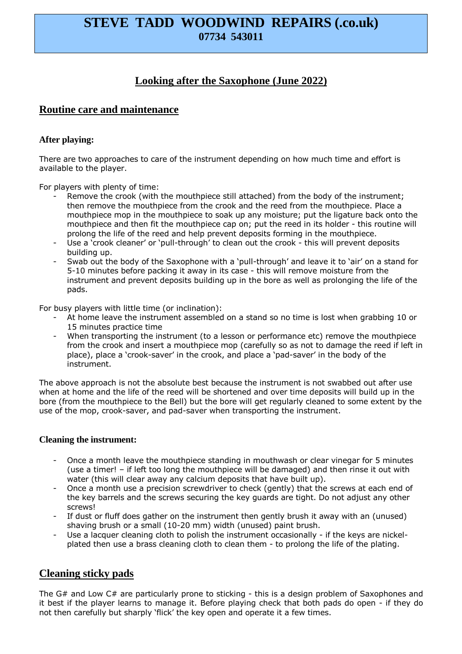# **STEVE TADD WOODWIND REPAIRS (.co.uk) 07734 543011**

# **Looking after the Saxophone (June 2022)**

## **Routine care and maintenance**

#### **After playing:**

There are two approaches to care of the instrument depending on how much time and effort is available to the player.

For players with plenty of time:

- Remove the crook (with the mouthpiece still attached) from the body of the instrument; then remove the mouthpiece from the crook and the reed from the mouthpiece. Place a mouthpiece mop in the mouthpiece to soak up any moisture; put the ligature back onto the mouthpiece and then fit the mouthpiece cap on; put the reed in its holder - this routine will prolong the life of the reed and help prevent deposits forming in the mouthpiece.
- Use a 'crook cleaner' or 'pull-through' to clean out the crook this will prevent deposits building up.
- Swab out the body of the Saxophone with a 'pull-through' and leave it to 'air' on a stand for 5-10 minutes before packing it away in its case - this will remove moisture from the instrument and prevent deposits building up in the bore as well as prolonging the life of the pads.

For busy players with little time (or inclination):

- At home leave the instrument assembled on a stand so no time is lost when grabbing 10 or 15 minutes practice time
- When transporting the instrument (to a lesson or performance etc) remove the mouthpiece from the crook and insert a mouthpiece mop (carefully so as not to damage the reed if left in place), place a 'crook-saver' in the crook, and place a 'pad-saver' in the body of the instrument.

The above approach is not the absolute best because the instrument is not swabbed out after use when at home and the life of the reed will be shortened and over time deposits will build up in the bore (from the mouthpiece to the Bell) but the bore will get regularly cleaned to some extent by the use of the mop, crook-saver, and pad-saver when transporting the instrument.

#### **Cleaning the instrument:**

- Once a month leave the mouthpiece standing in mouthwash or clear vinegar for 5 minutes (use a timer! – if left too long the mouthpiece will be damaged) and then rinse it out with water (this will clear away any calcium deposits that have built up).
- Once a month use a precision screwdriver to check (gently) that the screws at each end of the key barrels and the screws securing the key guards are tight. Do not adjust any other screws!
- If dust or fluff does gather on the instrument then gently brush it away with an (unused) shaving brush or a small (10-20 mm) width (unused) paint brush.
- Use a lacquer cleaning cloth to polish the instrument occasionally if the keys are nickelplated then use a brass cleaning cloth to clean them - to prolong the life of the plating.

## **Cleaning sticky pads**

The G# and Low C# are particularly prone to sticking - this is a design problem of Saxophones and it best if the player learns to manage it. Before playing check that both pads do open - if they do not then carefully but sharply 'flick' the key open and operate it a few times.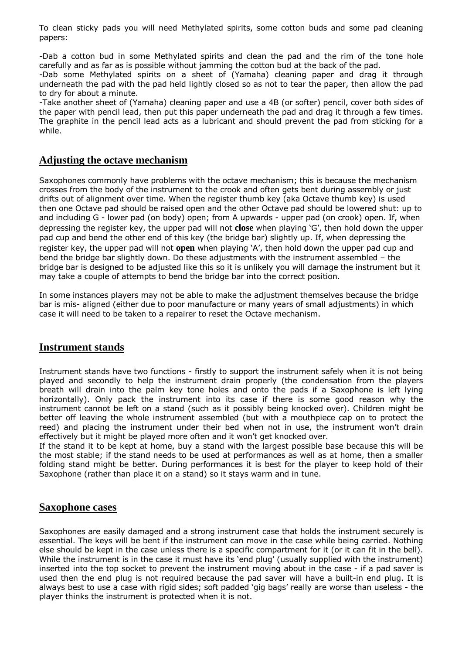To clean sticky pads you will need Methylated spirits, some cotton buds and some pad cleaning papers:

-Dab a cotton bud in some Methylated spirits and clean the pad and the rim of the tone hole carefully and as far as is possible without jamming the cotton bud at the back of the pad.

-Dab some Methylated spirits on a sheet of (Yamaha) cleaning paper and drag it through underneath the pad with the pad held lightly closed so as not to tear the paper, then allow the pad to dry for about a minute.

-Take another sheet of (Yamaha) cleaning paper and use a 4B (or softer) pencil, cover both sides of the paper with pencil lead, then put this paper underneath the pad and drag it through a few times. The graphite in the pencil lead acts as a lubricant and should prevent the pad from sticking for a while.

#### **Adjusting the octave mechanism**

Saxophones commonly have problems with the octave mechanism; this is because the mechanism crosses from the body of the instrument to the crook and often gets bent during assembly or just drifts out of alignment over time. When the register thumb key (aka Octave thumb key) is used then one Octave pad should be raised open and the other Octave pad should be lowered shut: up to and including G - lower pad (on body) open; from A upwards - upper pad (on crook) open. If, when depressing the register key, the upper pad will not **close** when playing 'G', then hold down the upper pad cup and bend the other end of this key (the bridge bar) slightly up. If, when depressing the register key, the upper pad will not **open** when playing 'A', then hold down the upper pad cup and bend the bridge bar slightly down. Do these adjustments with the instrument assembled – the bridge bar is designed to be adjusted like this so it is unlikely you will damage the instrument but it may take a couple of attempts to bend the bridge bar into the correct position.

In some instances players may not be able to make the adjustment themselves because the bridge bar is mis- aligned (either due to poor manufacture or many years of small adjustments) in which case it will need to be taken to a repairer to reset the Octave mechanism.

#### **Instrument stands**

Instrument stands have two functions - firstly to support the instrument safely when it is not being played and secondly to help the instrument drain properly (the condensation from the players breath will drain into the palm key tone holes and onto the pads if a Saxophone is left lying horizontally). Only pack the instrument into its case if there is some good reason why the instrument cannot be left on a stand (such as it possibly being knocked over). Children might be better off leaving the whole instrument assembled (but with a mouthpiece cap on to protect the reed) and placing the instrument under their bed when not in use, the instrument won't drain effectively but it might be played more often and it won't get knocked over.

If the stand it to be kept at home, buy a stand with the largest possible base because this will be the most stable; if the stand needs to be used at performances as well as at home, then a smaller folding stand might be better. During performances it is best for the player to keep hold of their Saxophone (rather than place it on a stand) so it stays warm and in tune.

#### **Saxophone cases**

Saxophones are easily damaged and a strong instrument case that holds the instrument securely is essential. The keys will be bent if the instrument can move in the case while being carried. Nothing else should be kept in the case unless there is a specific compartment for it (or it can fit in the bell). While the instrument is in the case it must have its 'end plug' (usually supplied with the instrument) inserted into the top socket to prevent the instrument moving about in the case - if a pad saver is used then the end plug is not required because the pad saver will have a built-in end plug. It is always best to use a case with rigid sides; soft padded 'gig bags' really are worse than useless - the player thinks the instrument is protected when it is not.